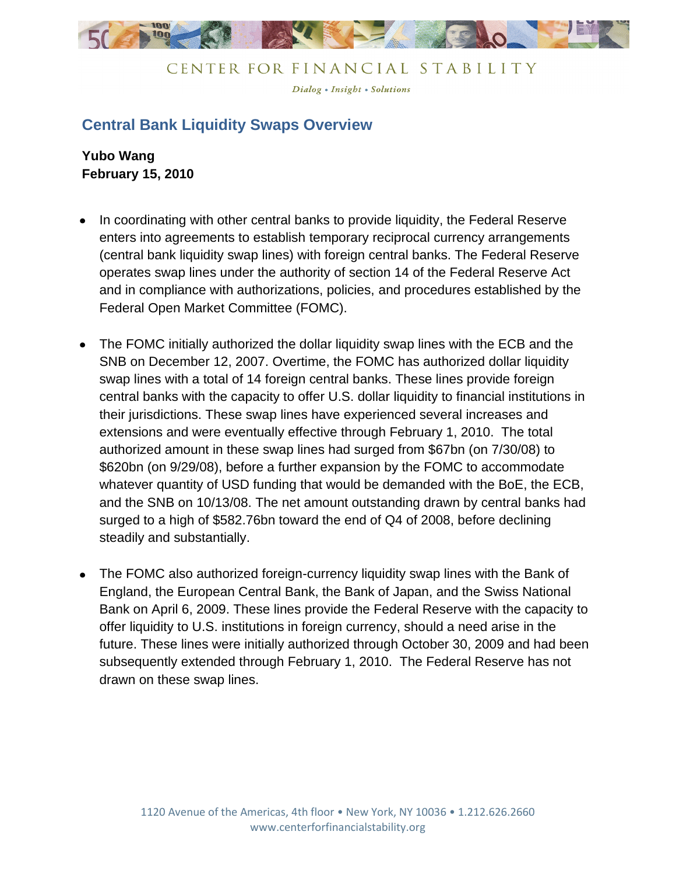

Dialog . Insight . Solutions

## **Central Bank Liquidity Swaps Overview**

**Yubo Wang February 15, 2010**

- In coordinating with other central banks to provide liquidity, the Federal Reserve enters into agreements to establish temporary reciprocal currency arrangements (central bank liquidity swap lines) with foreign central banks. The Federal Reserve operates swap lines under the authority of section 14 of the Federal Reserve Act and in compliance with authorizations, policies, and procedures established by the Federal Open Market Committee (FOMC).
- The FOMC initially authorized the dollar liquidity swap lines with the ECB and the SNB on December 12, 2007. Overtime, the FOMC has authorized dollar liquidity swap lines with a total of 14 foreign central banks. These lines provide foreign central banks with the capacity to offer U.S. dollar liquidity to financial institutions in their jurisdictions. These swap lines have experienced several increases and extensions and were eventually effective through February 1, 2010. The total authorized amount in these swap lines had surged from \$67bn (on 7/30/08) to \$620bn (on 9/29/08), before a further expansion by the FOMC to accommodate whatever quantity of USD funding that would be demanded with the BoE, the ECB, and the SNB on 10/13/08. The net amount outstanding drawn by central banks had surged to a high of \$582.76bn toward the end of Q4 of 2008, before declining steadily and substantially.
- The FOMC also authorized foreign-currency liquidity swap lines with the Bank of England, the European Central Bank, the Bank of Japan, and the Swiss National Bank on April 6, 2009. These lines provide the Federal Reserve with the capacity to offer liquidity to U.S. institutions in foreign currency, should a need arise in the future. These lines were initially authorized through October 30, 2009 and had been subsequently extended through February 1, 2010. The Federal Reserve has not drawn on these swap lines.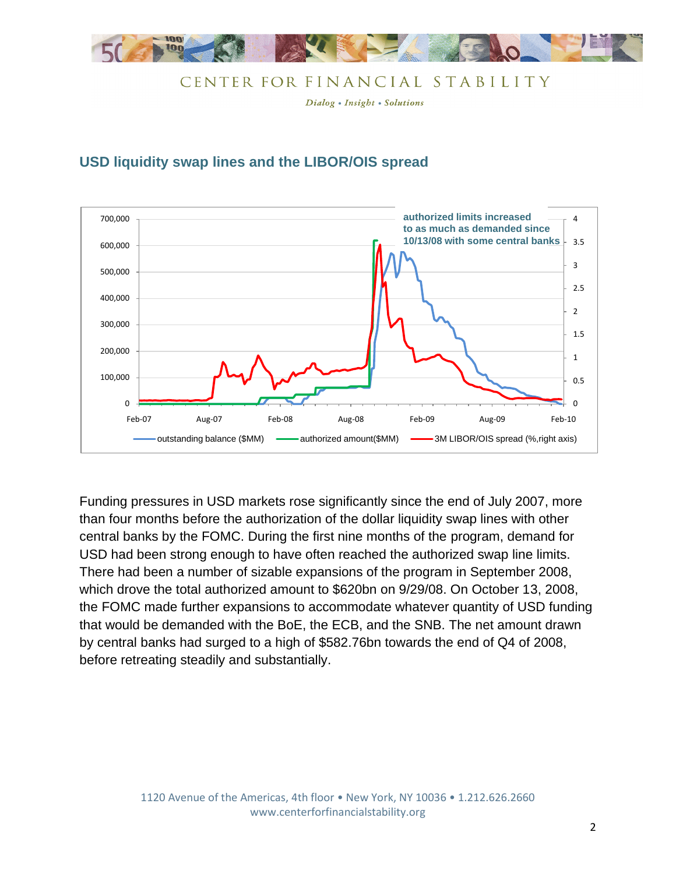

Dialog • Insight • Solutions

#### **USD liquidity swap lines and the LIBOR/OIS spread**



Funding pressures in USD markets rose significantly since the end of July 2007, more than four months before the authorization of the dollar liquidity swap lines with other central banks by the FOMC. During the first nine months of the program, demand for USD had been strong enough to have often reached the authorized swap line limits. There had been a number of sizable expansions of the program in September 2008, which drove the total authorized amount to \$620bn on 9/29/08. On October 13, 2008, the FOMC made further expansions to accommodate whatever quantity of USD funding that would be demanded with the BoE, the ECB, and the SNB. The net amount drawn by central banks had surged to a high of \$582.76bn towards the end of Q4 of 2008, before retreating steadily and substantially.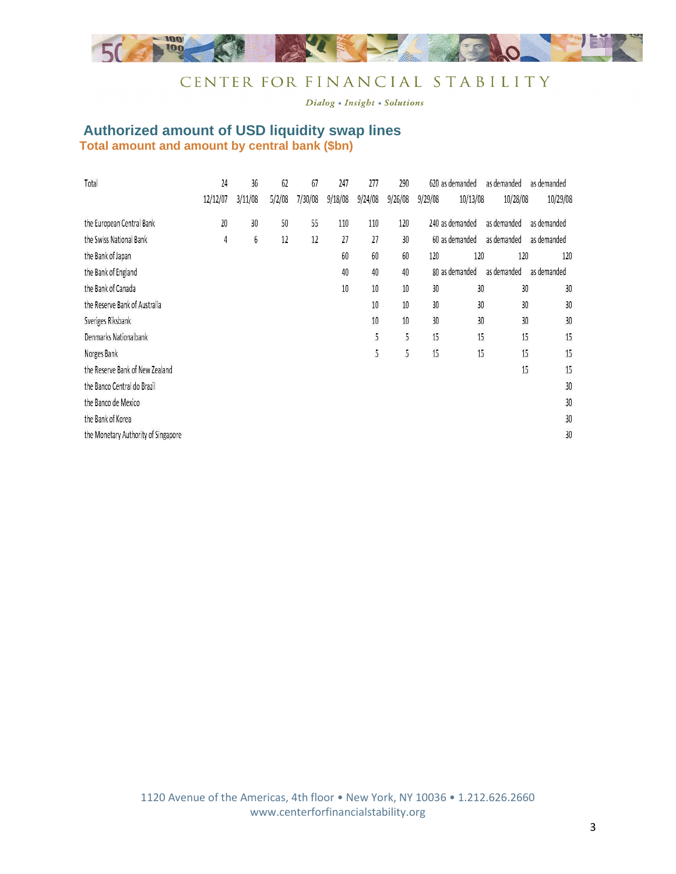

Dialog . Insight . Solutions

#### **Authorized amount of USD liquidity swap lines Total amount and amount by central bank (\$bn)**

| Total                               | 24             | 36      | 62     | 67      | 247     | 277     | 290     |         | 620 as demanded | as demanded | as demanded |
|-------------------------------------|----------------|---------|--------|---------|---------|---------|---------|---------|-----------------|-------------|-------------|
|                                     | 12/12/07       | 3/11/08 | 5/2/08 | 7/30/08 | 9/18/08 | 9/24/08 | 9/26/08 | 9/29/08 | 10/13/08        | 10/28/08    | 10/29/08    |
| the European Central Bank           | 20             | 30      | 50     | 55      | 110     | 110     | 120     |         | 240 as demanded | as demanded | as demanded |
| the Swiss National Bank             | $\overline{4}$ | 6       | 12     | 12      | 27      | 27      | 30      |         | 60 as demanded  | as demanded | as demanded |
| the Bank of Japan                   |                |         |        |         | 60      | 60      | 60      | 120     | 120             | 120         | 120         |
| the Bank of England                 |                |         |        |         | 40      | 40      | 40      |         | 80 as demanded  | as demanded | as demanded |
| the Bank of Canada                  |                |         |        |         | 10      | 10      | 10      | 30      | 30              | 30          | 30          |
| the Reserve Bank of Australia       |                |         |        |         |         | 10      | 10      | 30      | 30              | 30          | 30          |
| Sveriges Riksbank                   |                |         |        |         |         | 10      | 10      | 30      | 30              | 30          | 30          |
| Denmarks Nationalbank               |                |         |        |         |         | 5       | 5       | 15      | 15              | 15          | 15          |
| Norges Bank                         |                |         |        |         |         | 5       | 5       | 15      | 15              | 15          | 15          |
| the Reserve Bank of New Zealand     |                |         |        |         |         |         |         |         |                 | 15          | 15          |
| the Banco Central do Brazil         |                |         |        |         |         |         |         |         |                 |             | 30          |
| the Banco de Mexico                 |                |         |        |         |         |         |         |         |                 |             | 30          |
| the Bank of Korea                   |                |         |        |         |         |         |         |         |                 |             | 30          |
| the Monetary Authority of Singapore |                |         |        |         |         |         |         |         |                 |             | 30          |